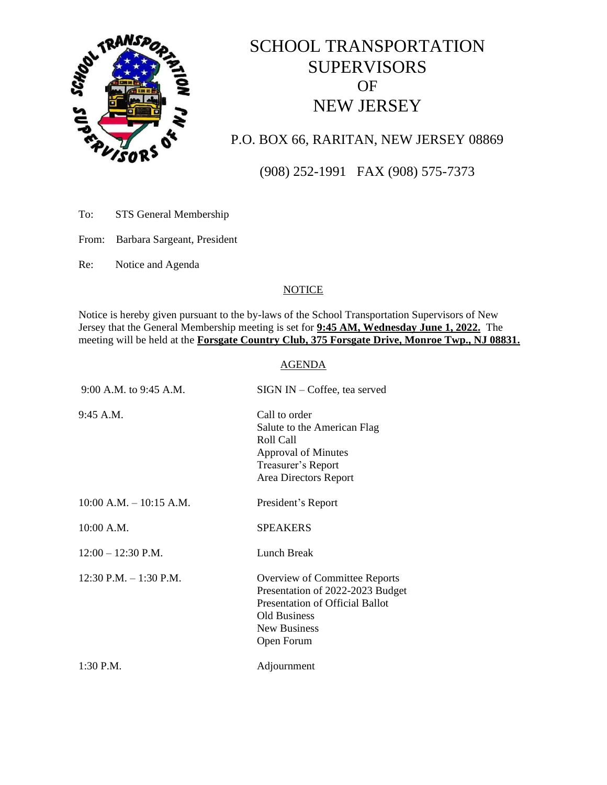

# SCHOOL TRANSPORTATION SUPERVISORS OF NEW JERSEY

## P.O. BOX 66, RARITAN, NEW JERSEY 08869

(908) 252-1991 FAX (908) 575-7373

To: STS General Membership

From: Barbara Sargeant, President

Re: Notice and Agenda

### **NOTICE**

Notice is hereby given pursuant to the by-laws of the School Transportation Supervisors of New Jersey that the General Membership meeting is set for **9:45 AM, Wednesday June 1, 2022.** The meeting will be held at the **Forsgate Country Club, 375 Forsgate Drive, Monroe Twp., NJ 08831.** 

#### AGENDA

| 9:00 A.M. to 9:45 A.M.      | $SIGN IN - Coffee$ , tea served                                                                                                                           |
|-----------------------------|-----------------------------------------------------------------------------------------------------------------------------------------------------------|
| 9:45 A.M.                   | Call to order<br>Salute to the American Flag<br>Roll Call<br><b>Approval of Minutes</b><br>Treasurer's Report<br>Area Directors Report                    |
| $10:00$ A.M. $- 10:15$ A.M. | President's Report                                                                                                                                        |
| $10:00$ A.M.                | <b>SPEAKERS</b>                                                                                                                                           |
| $12:00 - 12:30$ P.M.        | Lunch Break                                                                                                                                               |
| $12:30$ P.M. $-1:30$ P.M.   | Overview of Committee Reports<br>Presentation of 2022-2023 Budget<br>Presentation of Official Ballot<br><b>Old Business</b><br>New Business<br>Open Forum |
| $1:30$ P.M.                 | Adjournment                                                                                                                                               |